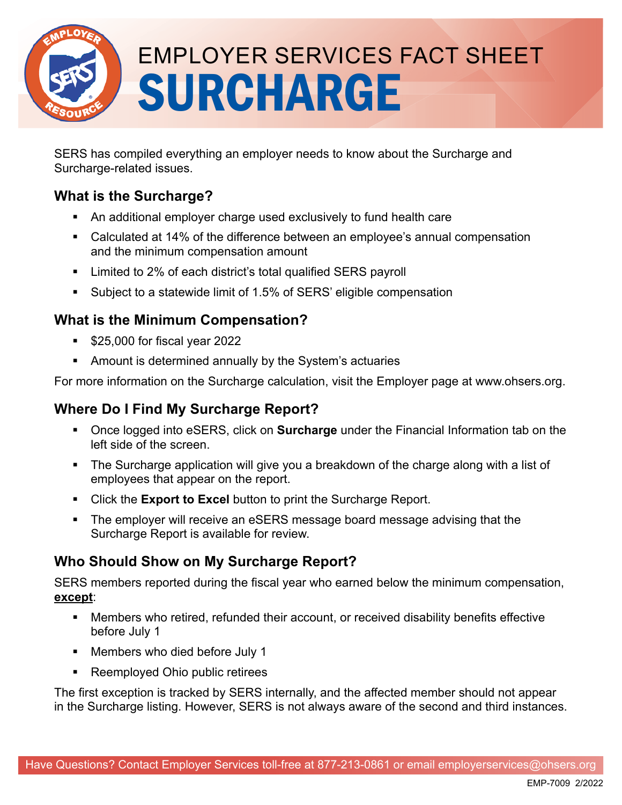

# EMPLOYER SERVICES FACT SHEET SURCHARGE

SERS has compiled everything an employer needs to know about the Surcharge and Surcharge-related issues.

## **What is the Surcharge?**

- An additional employer charge used exclusively to fund health care
- Calculated at 14% of the difference between an employee's annual compensation and the minimum compensation amount
- Limited to 2% of each district's total qualified SERS payroll
- Subject to a statewide limit of 1.5% of SERS' eligible compensation

### **What is the Minimum Compensation?**

- **S25,000 for fiscal year 2022**
- Amount is determined annually by the System's actuaries

For more information on the Surcharge calculation, visit the Employer page at www.ohsers.org.

## **Where Do I Find My Surcharge Report?**

- Once logged into eSERS, click on **Surcharge** under the Financial Information tab on the left side of the screen.
- The Surcharge application will give you a breakdown of the charge along with a list of employees that appear on the report.
- Click the **Export to Excel** button to print the Surcharge Report.
- The employer will receive an eSERS message board message advising that the Surcharge Report is available for review.

# **Who Should Show on My Surcharge Report?**

SERS members reported during the fiscal year who earned below the minimum compensation, **except**:

- Members who retired, refunded their account, or received disability benefits effective before July 1
- Members who died before July 1
- Reemployed Ohio public retirees

The first exception is tracked by SERS internally, and the affected member should not appear in the Surcharge listing. However, SERS is not always aware of the second and third instances.